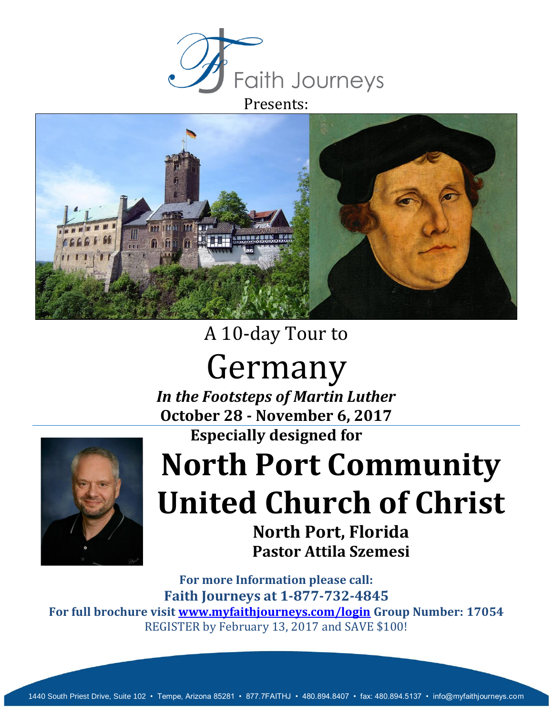



# A 10-day Tour to

# Germany

*In the Footsteps of Martin Luther* **October 28 - November 6, 2017 Especially designed for**



# **North Port Community United Church of Christ**

**North Port, Florida Pastor Attila Szemesi**

**For more Information please call: Faith Journeys at 1-877-732-4845 For full brochure visit [www.myfaithjourneys.com/login](http://www.myfaithjourneys.com/login) Group Number: 17054** REGISTER by February 13, 2017 and SAVE \$100!